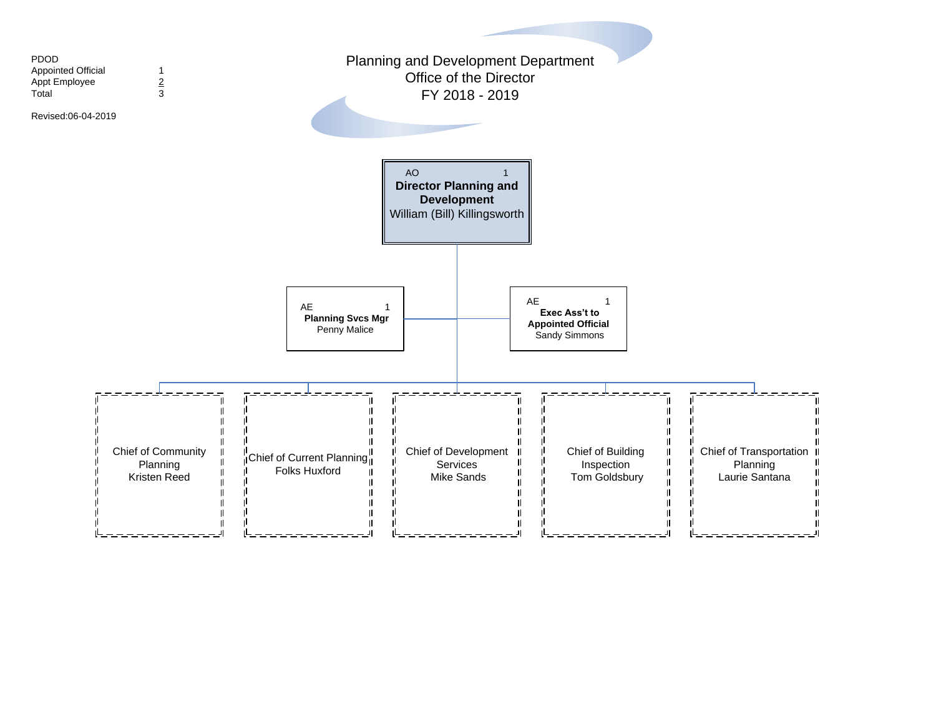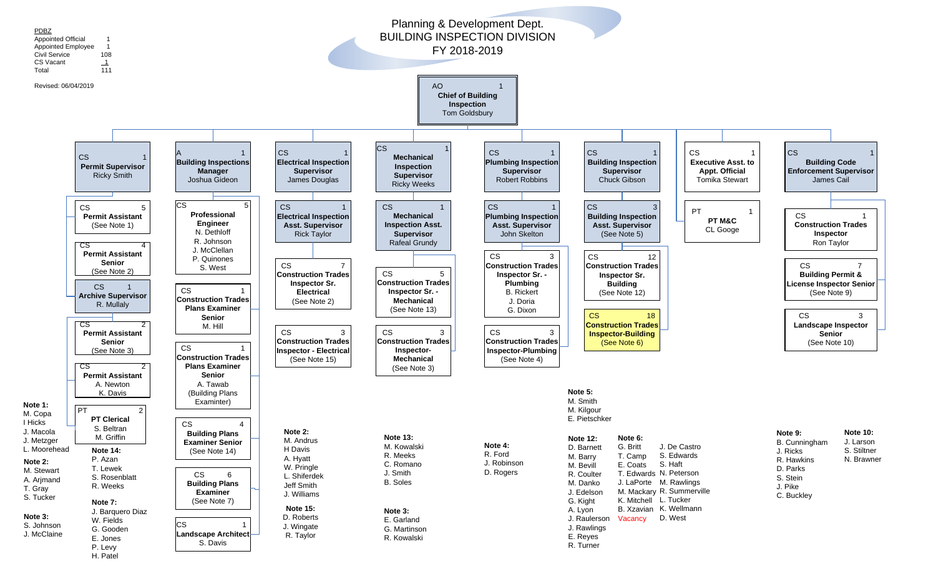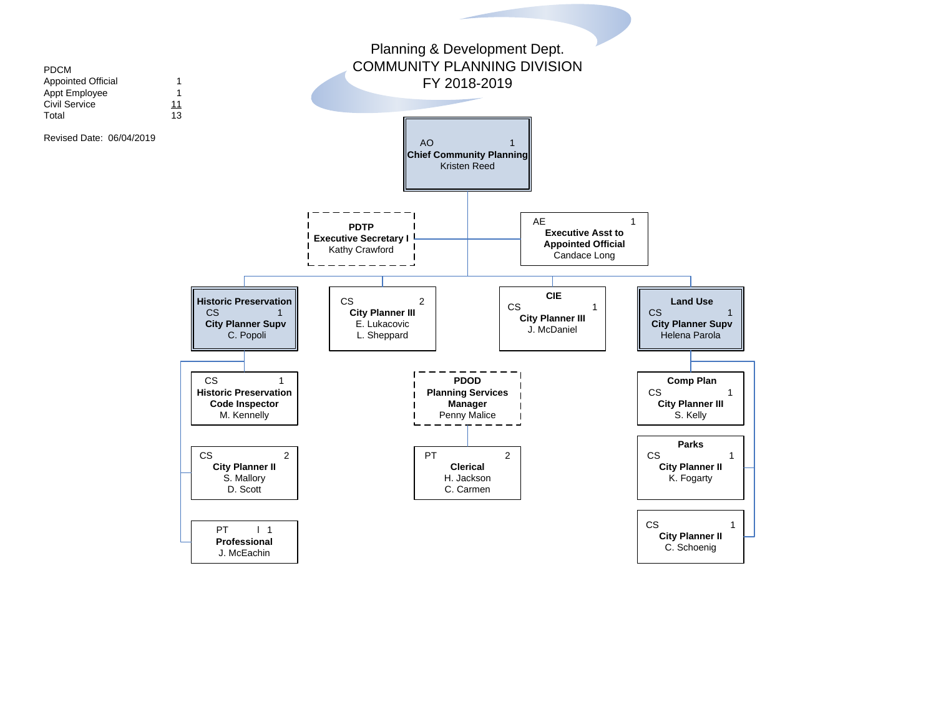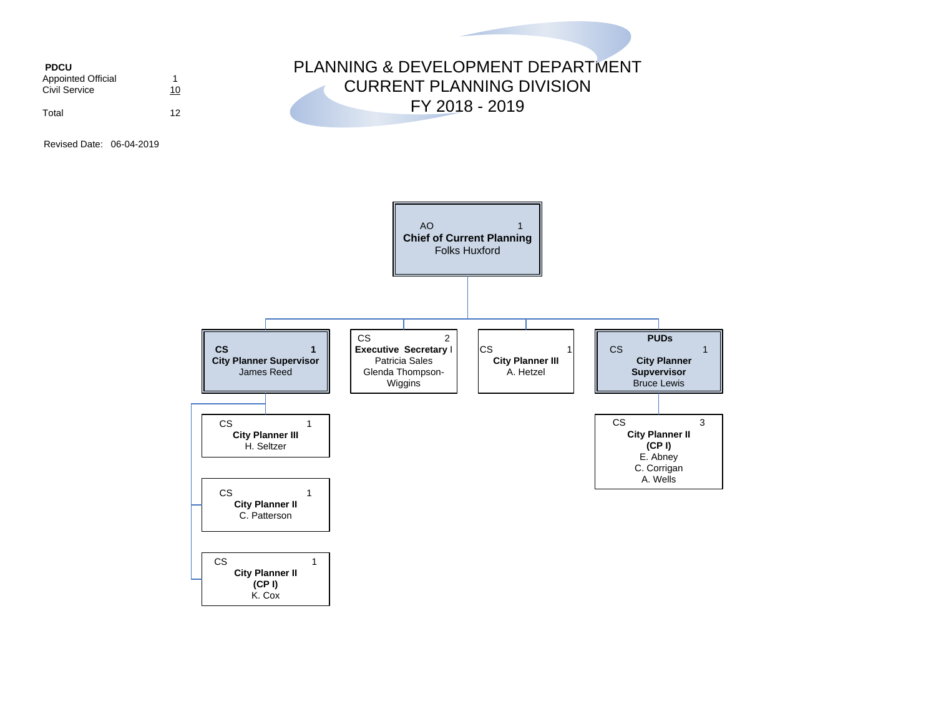**PDCU** Appointed Official 1<br>Civil Service 10 Civil Service Total 12

## PLANNING & DEVELOPMENT DEPARTMENT CURRENT PLANNING DIVISION FY 2018 - 2019

Revised Date: 06-04-2019

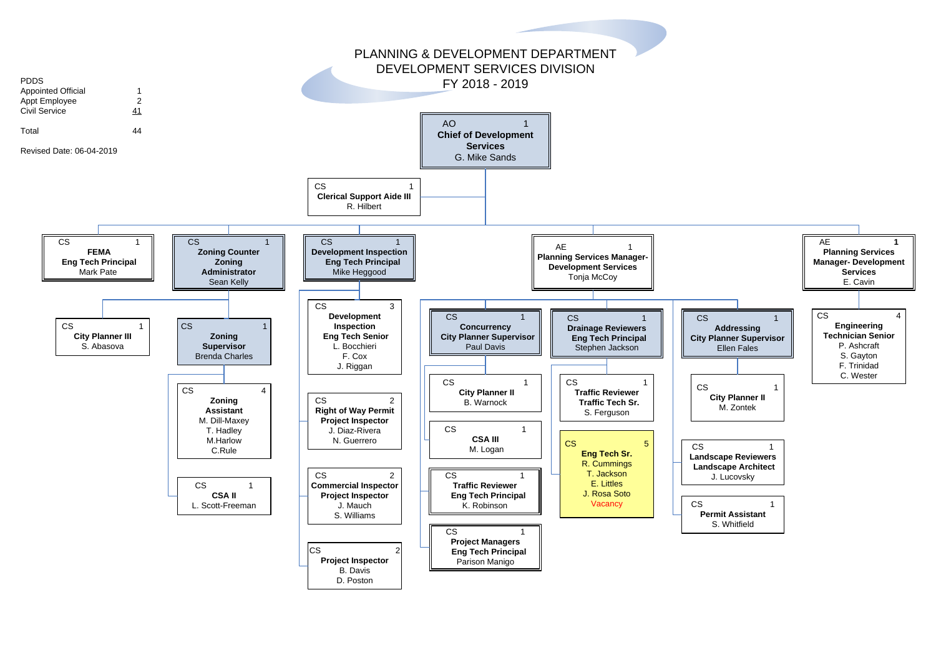